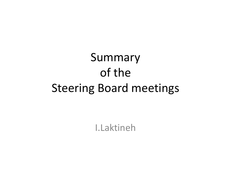# Summary of the Steering Board meetings

I.Laktineh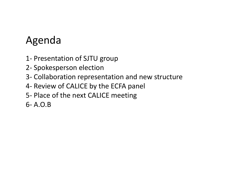# Agenda

- 1- Presentation of SJTU group
- 2- Spokesperson election
- 3- Collaboration representation and new structure
- 4- Review of CALICE by the ECFA panel
- 5- Place of the next CALICE meeting
- 6- A.O.B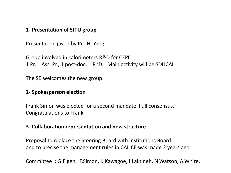#### **1- Presentation of SJTU group**

Presentation given by Pr . H. Yang

Group involved in calorimeters R&D for CEPC 1 Pr, 1 Ass. Pr., 1 post-doc, 1 PhD. Main activity will be SDHCAL

The SB welcomes the new group

#### **2- Spokesperson election**

Frank Simon was elected for a second mandate. Full consensus. Congratulations to Frank.

#### **3- Collaboration representation and new structure**

Proposal to replace the Steering Board with Institutions Board and to precise the management rules in CALICE was made 2 years ago

Committee : G.Eigen, F.Simon, K.Kawagoe, I.Laktineh, N.Watson, A.White.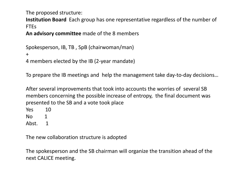The proposed structure:

**Institution Board** Each group has one representative regardless of the number of FTEs

**An advisory committee** made of the 8 members

Spokesperson, IB, TB , SpB (chairwoman/man)

+

4 members elected by the IB (2-year mandate)

To prepare the IB meetings and help the management take day-to-day decisions…

After several improvements that took into accounts the worries of several SB members concerning the possible increase of entropy, the final document was presented to the SB and a vote took place

- Yes 10
- No 1
- Abst. 1

The new collaboration structure is adopted

The spokesperson and the SB chairman will organize the transition ahead of the next CALICE meeting.